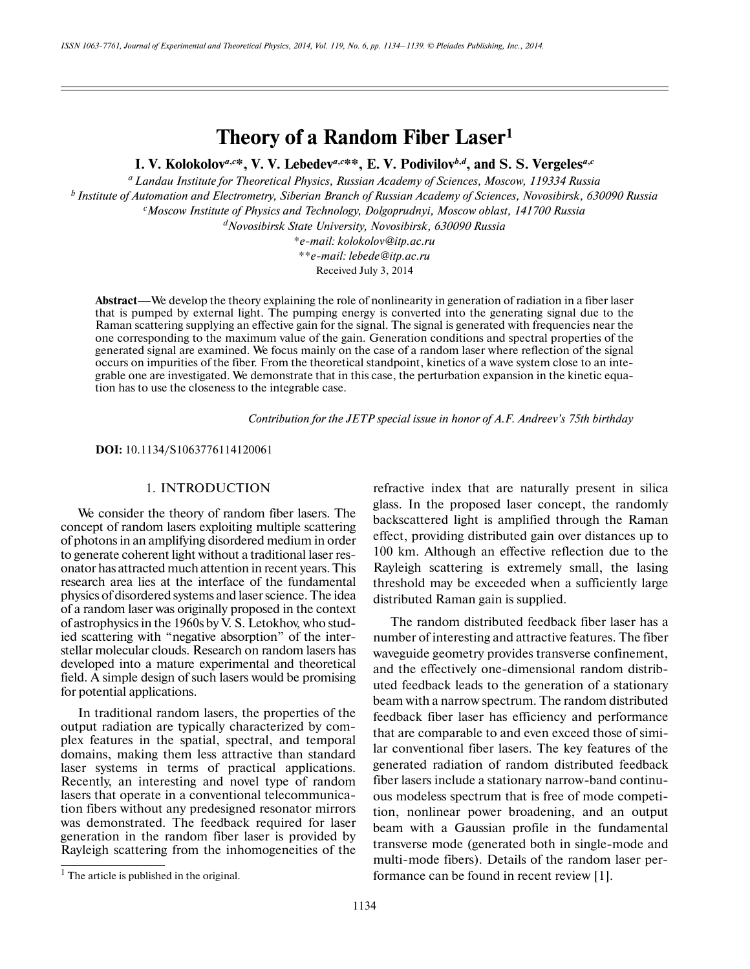# **Theory of a Random Fiber Laser1**

**I. V. Kolokolov***<sup>a</sup>***,***<sup>c</sup>* **\*, V. V. Lebedev***<sup>a</sup>***,***<sup>c</sup>* **\*\*, E. V. Podivilov***<sup>b</sup>***,***<sup>d</sup>* **, and S. S. Vergeles***<sup>a</sup>***,***<sup>c</sup>*

*a Landau Institute for Theoretical Physics, Russian Academy of Sciences, Moscow, 119334 Russia b Institute of Automation and Electrometry, Siberian Branch of Russian Academy of Sciences, Novosibirsk, 630090 Russia c Moscow Institute of Physics and Technology, Dolgoprudnyi, Moscow oblast, 141700 Russia*

*d Novosibirsk State University, Novosibirsk, 630090 Russia*

*\*e-mail: kolokolov@itp.ac.ru*

*\*\*e-mail: lebede@itp.ac.ru*

Received July 3, 2014

**Abstract**—We develop the theory explaining the role of nonlinearity in generation of radiation in a fiber laser that is pumped by external light. The pumping energy is converted into the generating signal due to the Raman scattering supplying an effective gain for the signal. The signal is generated with frequencies near the one corresponding to the maximum value of the gain. Generation conditions and spectral properties of the generated signal are examined. We focus mainly on the case of a random laser where reflection of the signal occurs on impurities of the fiber. From the theoretical standpoint, kinetics of a wave system close to an inte grable one are investigated. We demonstrate that in this case, the perturbation expansion in the kinetic equa tion has to use the closeness to the integrable case.

*Contribution for the JETP special issue in honor of A.F. Andreev's 75th birthday*

**DOI:** 10.1134/S1063776114120061

# <sup>1</sup> 1. INTRODUCTION

We consider the theory of random fiber lasers. The concept of random lasers exploiting multiple scattering of photons in an amplifying disordered medium in order to generate coherent light without a traditional laser res onator has attracted much attention in recent years. This research area lies at the interface of the fundamental physics of disordered systems and laser science. The idea of a random laser was originally proposed in the context of astrophysics in the 1960s by V. S. Letokhov, who stud ied scattering with "negative absorption" of the inter stellar molecular clouds. Research on random lasers has developed into a mature experimental and theoretical field. A simple design of such lasers would be promising for potential applications.

In traditional random lasers, the properties of the output radiation are typically characterized by com plex features in the spatial, spectral, and temporal domains, making them less attractive than standard laser systems in terms of practical applications. Recently, an interesting and novel type of random lasers that operate in a conventional telecommunica tion fibers without any predesigned resonator mirrors was demonstrated. The feedback required for laser generation in the random fiber laser is provided by Rayleigh scattering from the inhomogeneities of the refractive index that are naturally present in silica glass. In the proposed laser concept, the randomly backscattered light is amplified through the Raman effect, providing distributed gain over distances up to 100 km. Although an effective reflection due to the Rayleigh scattering is extremely small, the lasing threshold may be exceeded when a sufficiently large distributed Raman gain is supplied.

The random distributed feedback fiber laser has a number of interesting and attractive features. The fiber waveguide geometry provides transverse confinement, and the effectively one-dimensional random distrib uted feedback leads to the generation of a stationary beam with a narrow spectrum. The random distributed feedback fiber laser has efficiency and performance that are comparable to and even exceed those of simi lar conventional fiber lasers. The key features of the generated radiation of random distributed feedback fiber lasers include a stationary narrow-band continu ous modeless spectrum that is free of mode competi tion, nonlinear power broadening, and an output beam with a Gaussian profile in the fundamental transverse mode (generated both in single-mode and multi-mode fibers). Details of the random laser per formance can be found in recent review [1].

 $<sup>1</sup>$  The article is published in the original.</sup>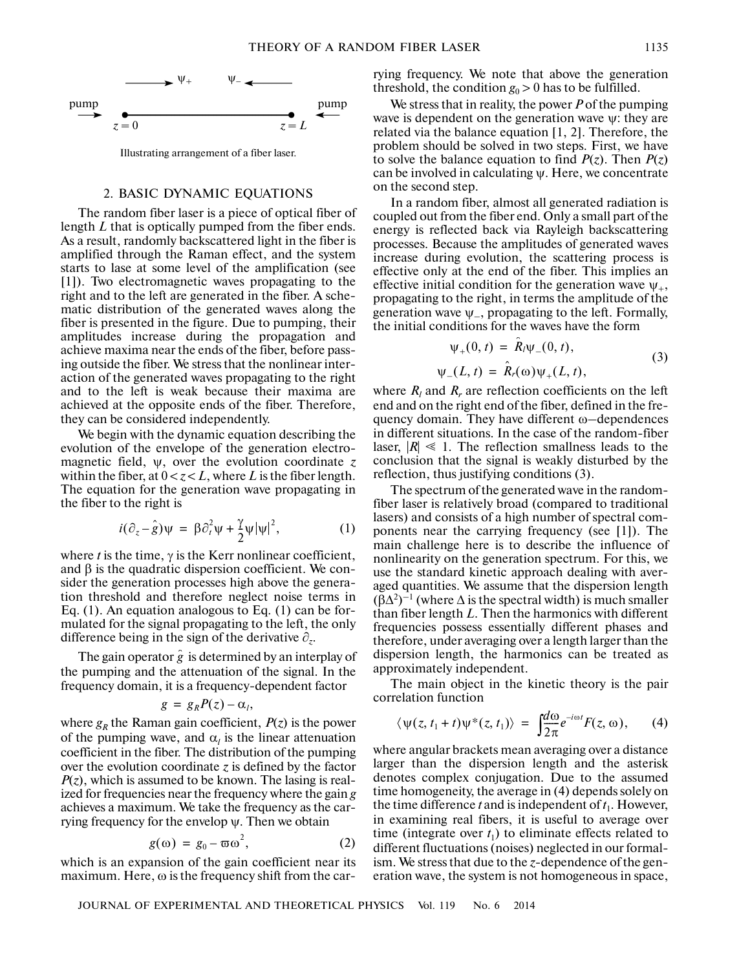

# 2. BASIC DYNAMIC EQUATIONS

The random fiber laser is a piece of optical fiber of length *L* that is optically pumped from the fiber ends. As a result, randomly backscattered light in the fiber is amplified through the Raman effect, and the system starts to lase at some level of the amplification (see [1]). Two electromagnetic waves propagating to the right and to the left are generated in the fiber. A sche matic distribution of the generated waves along the fiber is presented in the figure. Due to pumping, their amplitudes increase during the propagation and achieve maxima near the ends of the fiber, before pass ing outside the fiber. We stress that the nonlinear inter action of the generated waves propagating to the right and to the left is weak because their maxima are achieved at the opposite ends of the fiber. Therefore, they can be considered independently.

We begin with the dynamic equation describing the evolution of the envelope of the generation electro magnetic field, ψ, over the evolution coordinate *z* within the fiber, at  $0 < z < L$ , where L is the fiber length. The equation for the generation wave propagating in the fiber to the right is

$$
i(\partial_z - \hat{g})\psi = \beta \partial_t^2 \psi + \frac{\gamma}{2} \psi |\psi|^2, \qquad (1)
$$

where  $t$  is the time,  $\gamma$  is the Kerr nonlinear coefficient, and  $\beta$  is the quadratic dispersion coefficient. We consider the generation processes high above the genera tion threshold and therefore neglect noise terms in Eq. (1). An equation analogous to Eq. (1) can be for mulated for the signal propagating to the left, the only difference being in the sign of the derivative ∂*z*.

The gain operator  $\hat{g}$  is determined by an interplay of the pumping and the attenuation of the signal. In the frequency domain, it is a frequency-dependent factor

$$
g = g_R P(z) - \alpha_l,
$$

where  $g_R$  the Raman gain coefficient,  $P(z)$  is the power of the pumping wave, and  $\alpha_l$  is the linear attenuation coefficient in the fiber. The distribution of the pumping over the evolution coordinate  $\zeta$  is defined by the factor *P*(*z*), which is assumed to be known. The lasing is real ized for frequencies near the frequency where the gain *g* achieves a maximum. We take the frequency as the car rying frequency for the envelop  $\psi$ . Then we obtain

$$
g(\omega) = g_0 - \varpi \omega^2, \qquad (2)
$$

which is an expansion of the gain coefficient near its maximum. Here, ω is the frequency shift from the carrying frequency. We note that above the generation threshold, the condition  $g_0 > 0$  has to be fulfilled.

We stress that in reality, the power *P* of the pumping wave is dependent on the generation wave  $\psi$ : they are related via the balance equation [1, 2]. Therefore, the problem should be solved in two steps. First, we have to solve the balance equation to find  $P(z)$ . Then  $P(z)$ can be involved in calculating  $\psi$ . Here, we concentrate on the second step.

In a random fiber, almost all generated radiation is coupled out from the fiber end. Only a small part of the energy is reflected back via Rayleigh backscattering processes. Because the amplitudes of generated waves increase during evolution, the scattering process is effective only at the end of the fiber. This implies an effective initial condition for the generation wave  $\psi_{+}$ , propagating to the right, in terms the amplitude of the generation wave  $\psi$ , propagating to the left. Formally, the initial conditions for the waves have the form

$$
\psi_{+}(0, t) = \hat{R}_{1}\psi_{-}(0, t), \n\psi_{-}(L, t) = \hat{R}_{r}(\omega)\psi_{+}(L, t),
$$
\n(3)

where  $R_l$  and  $R_r$  are reflection coefficients on the left end and on the right end of the fiber, defined in the fre quency domain. They have different ω–dependences in different situations. In the case of the random-fiber laser,  $|R| \leq 1$ . The reflection smallness leads to the conclusion that the signal is weakly disturbed by the reflection, thus justifying conditions (3).

The spectrum of the generated wave in the random fiber laser is relatively broad (compared to traditional lasers) and consists of a high number of spectral com ponents near the carrying frequency (see [1]). The main challenge here is to describe the influence of nonlinearity on the generation spectrum. For this, we use the standard kinetic approach dealing with aver aged quantities. We assume that the dispersion length  $(\bar{\beta}\Delta^2)^{-1}$  (where  $\Delta$  is the spectral width) is much smaller than fiber length *L*. Then the harmonics with different frequencies possess essentially different phases and therefore, under averaging over a length larger than the dispersion length, the harmonics can be treated as approximately independent.

The main object in the kinetic theory is the pair correlation function

$$
\langle \psi(z, t_1 + t) \psi^*(z, t_1) \rangle = \int \frac{d\omega}{2\pi} e^{-i\omega t} F(z, \omega), \qquad (4)
$$

where angular brackets mean averaging over a distance larger than the dispersion length and the asterisk denotes complex conjugation. Due to the assumed time homogeneity, the average in (4) depends solely on the time difference *t* and is independent of  $t_1$ . However, in examining real fibers, it is useful to average over time (integrate over  $t_1$ ) to eliminate effects related to different fluctuations (noises) neglected in our formal ism. We stress that due to the *z*-dependence of the gen eration wave, the system is not homogeneous in space,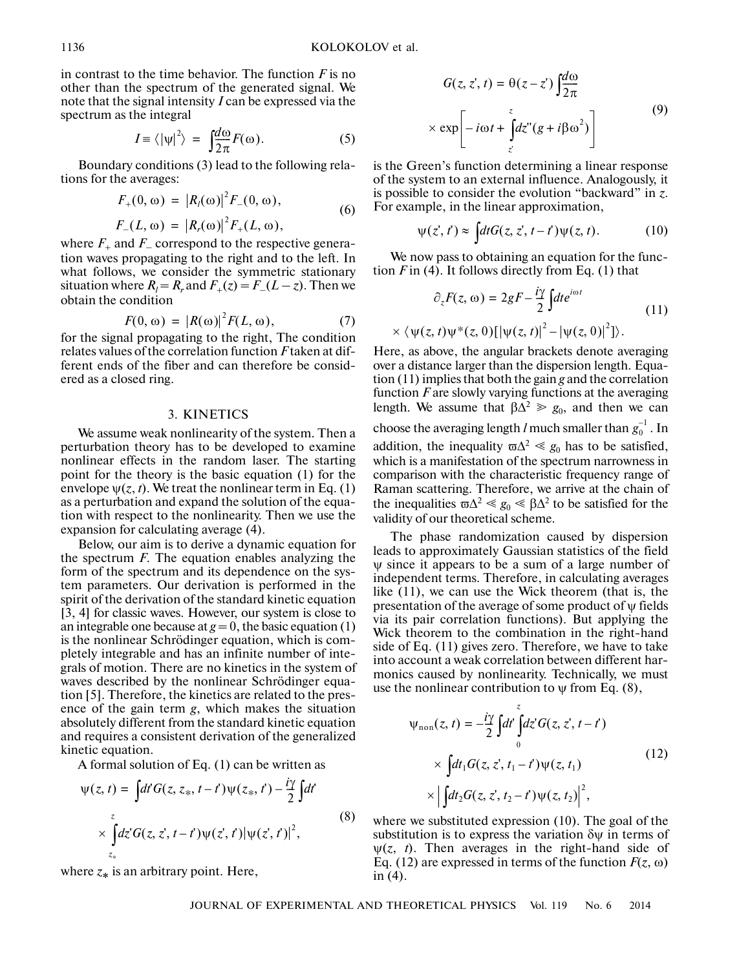in contrast to the time behavior. The function  $F$  is no other than the spectrum of the generated signal. We note that the signal intensity *I* can be expressed via the spectrum as the integral

$$
I = \langle |\psi|^2 \rangle = \int \frac{d\omega}{2\pi} F(\omega). \tag{5}
$$

Boundary conditions (3) lead to the following rela tions for the averages:

$$
F_{+}(0,\omega) = |R_{l}(\omega)|^{2} F_{-}(0,\omega), \qquad (6)
$$

$$
F_{-}(L, \omega) = |R_{r}(\omega)|^{2} F_{+}(L, \omega),
$$

where  $F_+$  and  $F_-$  correspond to the respective generation waves propagating to the right and to the left. In what follows, we consider the symmetric stationary situation where  $R_l = R_r$  and  $F_+(z) = F_-(L-z)$ . Then we obtain the condition

$$
F(0, \omega) = |R(\omega)|^2 F(L, \omega), \qquad (7)
$$

for the signal propagating to the right, The condition relates values of the correlation function *F* taken at dif ferent ends of the fiber and can therefore be consid ered as a closed ring.

## 3. KINETICS

We assume weak nonlinearity of the system. Then a perturbation theory has to be developed to examine nonlinear effects in the random laser. The starting point for the theory is the basic equation (1) for the envelope  $\psi(z, t)$ . We treat the nonlinear term in Eq. (1) as a perturbation and expand the solution of the equa tion with respect to the nonlinearity. Then we use the expansion for calculating average (4).

Below, our aim is to derive a dynamic equation for the spectrum *F*. The equation enables analyzing the form of the spectrum and its dependence on the sys tem parameters. Our derivation is performed in the spirit of the derivation of the standard kinetic equation [3, 4] for classic waves. However, our system is close to an integrable one because at  $g = 0$ , the basic equation (1) is the nonlinear Schrödinger equation, which is com pletely integrable and has an infinite number of inte grals of motion. There are no kinetics in the system of waves described by the nonlinear Schrödinger equa tion [5]. Therefore, the kinetics are related to the pres ence of the gain term *g*, which makes the situation absolutely different from the standard kinetic equation and requires a consistent derivation of the generalized kinetic equation.

A formal solution of Eq. (1) can be written as

$$
\psi(z, t) = \int dt G(z, z_*, t - t') \psi(z_*, t') - \frac{i\gamma}{2} \int dt'
$$
\n
$$
\times \int_{z_*}^{z} dz' G(z, z', t - t') \psi(z', t') |\psi(z', t')|^2,
$$
\n(8)

where *z*∗ is an arbitrary point. Here,

$$
G(z, z', t) = \theta(z - z') \int_{\frac{\pi}{2\pi}}^{\frac{\pi}{2\pi}} \exp\left[-i\omega t + \int_{z'}^{z} dz''(g + i\beta \omega^2)\right]
$$
(9)

is the Green's function determining a linear response of the system to an external influence. Analogously, it is possible to consider the evolution "backward" in *z*. For example, in the linear approximation,

$$
\psi(z',t') \approx \int dt G(z,z',t-t')\psi(z,t). \tag{10}
$$

We now pass to obtaining an equation for the func tion  $F$  in (4). It follows directly from Eq. (1) that

$$
\partial_z F(z, \omega) = 2gF - \frac{i\gamma}{2} \int dt e^{i\omega t}
$$
  
 
$$
\times \langle \psi(z, t) \psi^*(z, 0) [|\psi(z, t)|^2 - |\psi(z, 0)|^2] \rangle.
$$
 (11)

Here, as above, the angular brackets denote averaging over a distance larger than the dispersion length. Equa tion (11) implies that both the gain *g* and the correlation function *F* are slowly varying functions at the averaging length. We assume that  $\beta \Delta^2 \ge g_0$ , and then we can choose the averaging length *l* much smaller than  $g_0^{-1}$  . In addition, the inequality  $\varpi \Delta^2 \ll g_0$  has to be satisfied, which is a manifestation of the spectrum narrowness in comparison with the characteristic frequency range of Raman scattering. Therefore, we arrive at the chain of the inequalities  $\omega^2 \ll g_0 \ll \beta \Delta^2$  to be satisfied for the validity of our theoretical scheme.

The phase randomization caused by dispersion leads to approximately Gaussian statistics of the field ψ since it appears to be a sum of a large number of independent terms. Therefore, in calculating averages like (11), we can use the Wick theorem (that is, the presentation of the average of some product of  $\psi$  fields via its pair correlation functions). But applying the Wick theorem to the combination in the right-hand side of Eq. (11) gives zero. Therefore, we have to take into account a weak correlation between different har monics caused by nonlinearity. Technically, we must use the nonlinear contribution to  $\psi$  from Eq. (8),

$$
\psi_{\text{non}}(z, t) = -\frac{i\gamma}{2} \int dt \int_{0}^{z} dz' G(z, z', t - t')
$$
  
 
$$
\times \int dt_1 G(z, z', t_1 - t') \psi(z, t_1)
$$
  
 
$$
\times \left| \int dt_2 G(z, z', t_2 - t') \psi(z, t_2) \right|^2,
$$
 (12)

 $\overline{)$ where we substituted expression (10). The goal of the substitution is to express the variation  $\delta \psi$  in terms of  $\psi(z, t)$ . Then averages in the right-hand side of Eq. (12) are expressed in terms of the function  $F(z, \omega)$ in (4).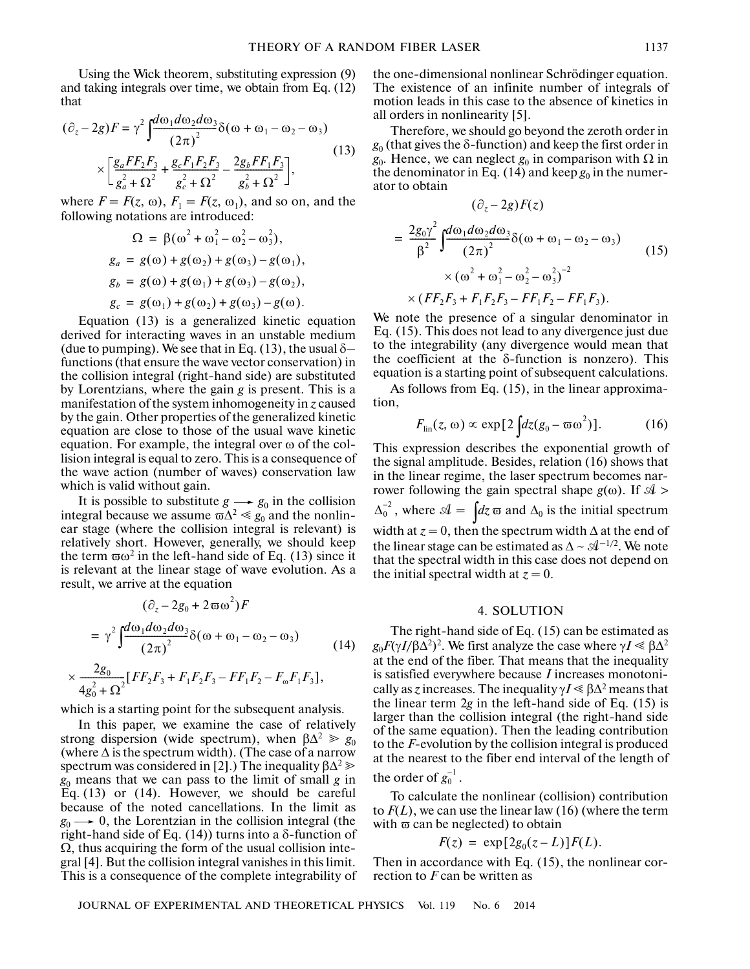Using the Wick theorem, substituting expression (9) and taking integrals over time, we obtain from Eq. (12) that

$$
(\partial_z - 2g)F = \gamma^2 \int \frac{d\omega_1 d\omega_2 d\omega_3}{(2\pi)^2} \delta(\omega + \omega_1 - \omega_2 - \omega_3)
$$
  
 
$$
\times \left[ \frac{g_a FF_2F_3}{g_a^2 + \Omega^2} + \frac{g_cF_1F_2F_3}{g_c^2 + \Omega^2} - \frac{2g_bFF_1F_3}{g_b^2 + \Omega^2} \right],
$$
 (13)

where  $F = F(z, \omega)$ ,  $F_1 = F(z, \omega_1)$ , and so on, and the following notations are introduced:

$$
\Omega = \beta(\omega^2 + \omega_1^2 - \omega_2^2 - \omega_3^2),
$$
  
\n
$$
g_a = g(\omega) + g(\omega_2) + g(\omega_3) - g(\omega_1),
$$
  
\n
$$
g_b = g(\omega) + g(\omega_1) + g(\omega_3) - g(\omega_2),
$$
  
\n
$$
g_c = g(\omega_1) + g(\omega_2) + g(\omega_3) - g(\omega).
$$

Equation (13) is a generalized kinetic equation derived for interacting waves in an unstable medium (due to pumping). We see that in Eq. (13), the usual  $\delta$ functions (that ensure the wave vector conservation) in the collision integral (right-hand side) are substituted by Lorentzians, where the gain *g* is present. This is a manifestation of the system inhomogeneity in *z* caused by the gain. Other properties of the generalized kinetic equation are close to those of the usual wave kinetic equation. For example, the integral over ω of the col lision integral is equal to zero. This is a consequence of the wave action (number of waves) conservation law which is valid without gain.

It is possible to substitute  $g \rightarrow g_0$  in the collision integral because we assume  $\overline{\omega} \Delta^2 \ll g_0$  and the nonlinear stage (where the collision integral is relevant) is relatively short. However, generally, we should keep the term  $\omega^2$  in the left-hand side of Eq. (13) since it is relevant at the linear stage of wave evolution. As a result, we arrive at the equation

$$
(\partial_z - 2g_0 + 2\varpi\omega^2)F
$$
  
=  $\gamma^2 \int \frac{d\omega_1 d\omega_2 d\omega_3}{(2\pi)^2} \delta(\omega + \omega_1 - \omega_2 - \omega_3)$  (14)  
 $\times \frac{2g_0}{4g_0^2 + \Omega^2} [FF_2F_3 + F_1F_2F_3 - FF_1F_2 - F_\omega F_1F_3],$ 

which is a starting point for the subsequent analysis.

In this paper, we examine the case of relatively strong dispersion (wide spectrum), when  $\beta \Delta^2 \ge g_0$ (where  $\Delta$  is the spectrum width). (The case of a narrow spectrum was considered in [2].) The inequality  $\beta \Delta^2 \gg$ *g*0 means that we can pass to the limit of small *g* in Eq. (13) or (14). However, we should be careful because of the noted cancellations. In the limit as  $g_0 \rightarrow 0$ , the Lorentzian in the collision integral (the right-hand side of Eq. (14)) turns into a δ-function of  $\Omega$ , thus acquiring the form of the usual collision integral [4]. But the collision integral vanishes in this limit. This is a consequence of the complete integrability of

the one-dimensional nonlinear Schrödinger equation. The existence of an infinite number of integrals of motion leads in this case to the absence of kinetics in all orders in nonlinearity [5].

Therefore, we should go beyond the zeroth order in  $g_0$  (that gives the  $\delta$ -function) and keep the first order in  $g_0$ . Hence, we can neglect  $g_0$  in comparison with  $\Omega$  in the denominator in Eq.  $(14)$  and keep  $g_0$  in the numerator to obtain

$$
(\partial_z - 2g)F(z)
$$
  
=  $\frac{2g_0\gamma^2}{\beta^2} \int \frac{d\omega_1 d\omega_2 d\omega_3}{(2\pi)^2} \delta(\omega + \omega_1 - \omega_2 - \omega_3)$   
\$\times (\omega^2 + \omega\_1^2 - \omega\_2^2 - \omega\_3^2)^{-2}\$  
\$\times (FF\_2F\_3 + F\_1F\_2F\_3 - FF\_1F\_2 - FF\_1F\_3).\$ (15)

We note the presence of a singular denominator in Eq. (15). This does not lead to any divergence just due to the integrability (any divergence would mean that the coefficient at the  $\delta$ -function is nonzero). This equation is a starting point of subsequent calculations.

As follows from Eq. (15), in the linear approxima tion,

$$
F_{\rm lin}(z,\omega) \propto \exp[2\int dz (g_0 - \overline{\omega}\omega^2)]. \tag{16}
$$

This expression describes the exponential growth of the signal amplitude. Besides, relation (16) shows that in the linear regime, the laser spectrum becomes nar rower following the gain spectral shape  $g(\omega)$ . If  $\mathcal{A}$  $\Delta_0^{-2}$ , where  $\mathcal{A} = \int dz \,\overline{\omega}$  and  $\Delta_0$  is the initial spectrum width at  $z = 0$ , then the spectrum width  $\Delta$  at the end of the linear stage can be estimated as  $\Delta \sim \mathcal{A}^{-1/2}$ . We note that the spectral width in this case does not depend on the initial spectral width at  $z = 0$ .

### 4. SOLUTION

The right-hand side of Eq. (15) can be estimated as  $g_0 F(\gamma I/\beta \Delta^2)^2$ . We first analyze the case where  $\gamma I \ll \beta \Delta^2$ at the end of the fiber. That means that the inequality is satisfied everywhere because *I* increases monotoni cally as *z* increases. The inequality  $\gamma I \ll \beta \Delta^2$  means that the linear term 2*g* in the left-hand side of Eq. (15) is larger than the collision integral (the right-hand side of the same equation). Then the leading contribution to the *F*-evolution by the collision integral is produced at the nearest to the fiber end interval of the length of the order of  $g_0^{-1}$ .

To calculate the nonlinear (collision) contribution to *F*(*L*), we can use the linear law (16) (where the term with  $\varpi$  can be neglected) to obtain

$$
F(z) = \exp[2g_0(z-L)]F(L).
$$

Then in accordance with Eq. (15), the nonlinear cor rection to *F* can be written as

JOURNAL OF EXPERIMENTAL AND THEORETICAL PHYSICS Vol. 119 No. 6 2014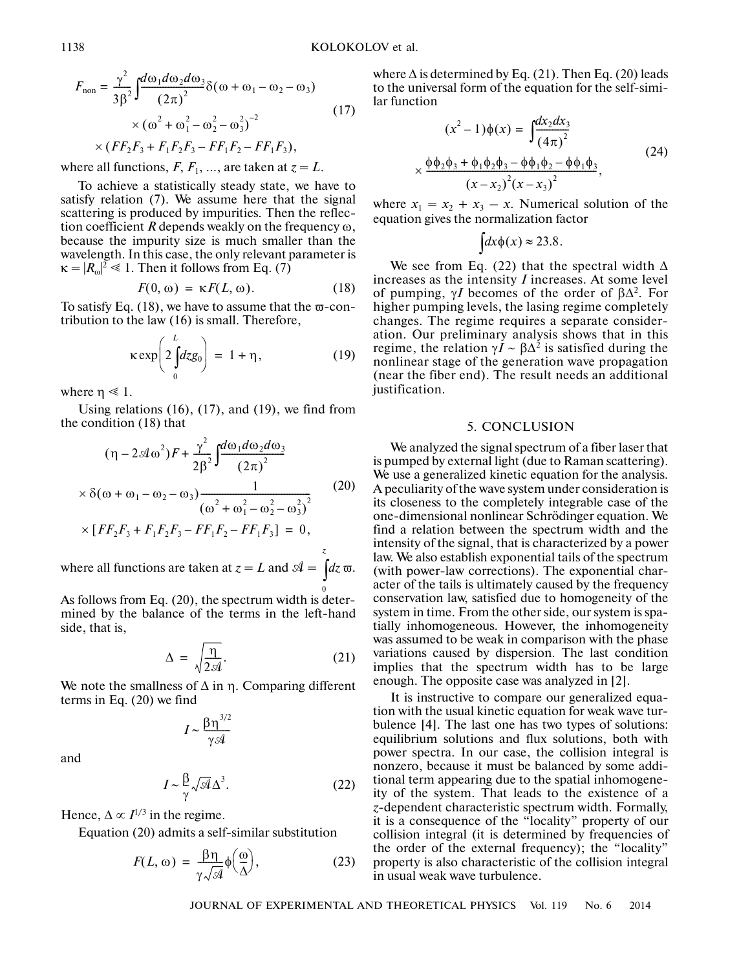$$
F_{\text{non}} = \frac{\gamma^2}{3\beta^2} \int \frac{d\omega_1 d\omega_2 d\omega_3}{(2\pi)^2} \delta(\omega + \omega_1 - \omega_2 - \omega_3)
$$
  
×  $(\omega^2 + \omega_1^2 - \omega_2^2 - \omega_3^2)^{-2}$   
×  $(FF_2F_3 + F_1F_2F_3 - FF_1F_2 - FF_1F_3)$ , (17)

where all functions,  $F, F_1, \ldots$ , are taken at  $z = L$ .

To achieve a statistically steady state, we have to satisfy relation (7). We assume here that the signal scattering is produced by impurities. Then the reflec tion coefficient *R* depends weakly on the frequency ω, because the impurity size is much smaller than the wavelength. In this case, the only relevant parameter is  $\kappa = |R_{\omega}|^2 \le 1$ . Then it follows from Eq. (7)

$$
F(0, \omega) = \kappa F(L, \omega). \tag{18}
$$

To satisfy Eq.  $(18)$ , we have to assume that the  $\varpi$ -contribution to the law (16) is small. Therefore,

$$
\kappa \exp\left(2\int_{0}^{L} dz g_0\right) = 1 + \eta, \qquad (19)
$$

where  $\eta \ll 1$ .

Using relations (16), (17), and (19), we find from the condition (18) that

$$
(\eta - 2\mathcal{A}\omega^{2})F + \frac{\gamma^{2}}{2\beta^{2}} \int \frac{d\omega_{1}d\omega_{2}d\omega_{3}}{(2\pi)^{2}}
$$
  
×  $\delta(\omega + \omega_{1} - \omega_{2} - \omega_{3}) \frac{1}{(\omega^{2} + \omega_{1}^{2} - \omega_{2}^{2} - \omega_{3}^{2})^{2}}$   
×  $[FF_{2}F_{3} + F_{1}F_{2}F_{3} - FF_{1}F_{2} - FF_{1}F_{3}] = 0,$ 

where all functions are taken at  $z = L$  and  $\mathcal{A} = \int dz \,\overline{\omega}$ . 0

As follows from Eq. (20), the spectrum width is deter mined by the balance of the terms in the left-hand side, that is,

$$
\Delta = \sqrt{\frac{\eta}{2\mathcal{A}}}.\tag{21}
$$

We note the smallness of  $\Delta$  in η. Comparing different terms in Eq. (20) we find

$$
I \sim \frac{\beta \eta^{3/2}}{\gamma \mathcal{A}}
$$

and

$$
I \sim \frac{\beta}{\gamma} \sqrt{\mathcal{A}} \Delta^3. \tag{22}
$$

Hence,  $\Delta \propto I^{1/3}$  in the regime.

Equation (20) admits a self-similar substitution

$$
F(L, \omega) = \frac{\beta \eta}{\gamma \sqrt{\mathcal{A}}} \phi\left(\frac{\omega}{\Delta}\right),\tag{23}
$$

where  $\Delta$  is determined by Eq. (21). Then Eq. (20) leads to the universal form of the equation for the self-simi lar function

$$
(x^{2}-1)\phi(x) = \int \frac{dx_{2}dx_{3}}{(4\pi)^{2}}
$$
  
 
$$
\times \frac{\phi\phi_{2}\phi_{3} + \phi_{1}\phi_{2}\phi_{3} - \phi\phi_{1}\phi_{2} - \phi\phi_{1}\phi_{3}}{(x-x_{2})^{2}(x-x_{3})^{2}},
$$
 (24)

where  $x_1 = x_2 + x_3 - x$ . Numerical solution of the equation gives the normalization factor

$$
\int dx \phi(x) \approx 23.8.
$$

We see from Eq. (22) that the spectral width  $\Delta$ increases as the intensity *I* increases. At some level of pumping,  $\gamma I$  becomes of the order of  $\beta \Delta^2$ . For higher pumping levels, the lasing regime completely changes. The regime requires a separate consider ation. Our preliminary analysis shows that in this regime, the relation  $\gamma I \sim \beta \Delta^2$  is satisfied during the nonlinear stage of the generation wave propagation (near the fiber end). The result needs an additional justification.

#### 5. CONCLUSION

We analyzed the signal spectrum of a fiber laser that is pumped by external light (due to Raman scattering). We use a generalized kinetic equation for the analysis. A peculiarity of the wave system under consideration is its closeness to the completely integrable case of the one-dimensional nonlinear Schrödinger equation. We find a relation between the spectrum width and the intensity of the signal, that is characterized by a power law. We also establish exponential tails of the spectrum (with power-law corrections). The exponential char acter of the tails is ultimately caused by the frequency conservation law, satisfied due to homogeneity of the system in time. From the other side, our system is spa tially inhomogeneous. However, the inhomogeneity was assumed to be weak in comparison with the phase variations caused by dispersion. The last condition implies that the spectrum width has to be large enough. The opposite case was analyzed in [2].

It is instructive to compare our generalized equa tion with the usual kinetic equation for weak wave tur bulence [4]. The last one has two types of solutions: equilibrium solutions and flux solutions, both with power spectra. In our case, the collision integral is nonzero, because it must be balanced by some addi tional term appearing due to the spatial inhomogene ity of the system. That leads to the existence of a *z*-dependent characteristic spectrum width. Formally, it is a consequence of the "locality" property of our collision integral (it is determined by frequencies of the order of the external frequency); the "locality" property is also characteristic of the collision integral in usual weak wave turbulence.